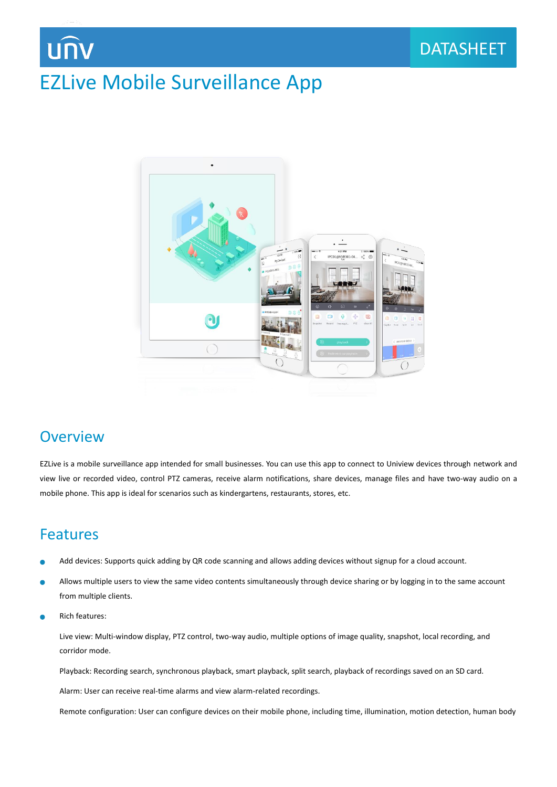## EZLive Mobile Surveillance App



### **Overview**

EZLive is a mobile surveillance app intended for small businesses. You can use this app to connect to Uniview devices through network and view live or recorded video, control PTZ cameras, receive alarm notifications, share devices, manage files and have two-way audio on a mobile phone. This app is ideal for scenarios such as kindergartens, restaurants, stores, etc.

### Features

- Add devices: Supports quick adding by QR code scanning and allows adding devices without signup for a cloud account.
- Allows multiple users to view the same video contents simultaneously through device sharing or by logging in to the same account Ċ from multiple clients.
- Ċ Rich features:

Live view: Multi-window display, PTZ control, two-way audio, multiple options of image quality, snapshot, local recording, and corridor mode.

Playback: Recording search, synchronous playback, smart playback, split search, playback of recordings saved on an SD card.

Alarm: User can receive real-time alarms and view alarm-related recordings.

Remote configuration: User can configure devices on their mobile phone, including time, illumination, motion detection, human body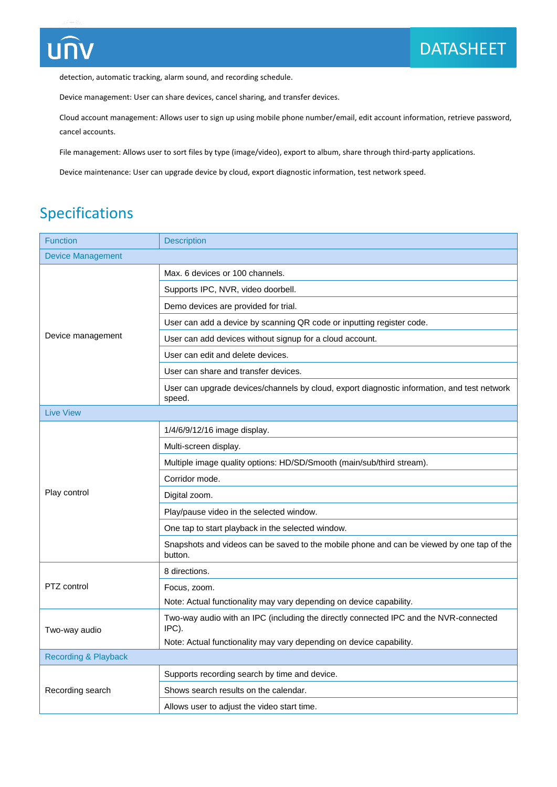

detection, automatic tracking, alarm sound, and recording schedule.

Device management: User can share devices, cancel sharing, and transfer devices.

Cloud account management: Allows user to sign up using mobile phone number/email, edit account information, retrieve password, cancel accounts.

File management: Allows user to sort files by type (image/video), export to album, share through third-party applications.

Device maintenance: User can upgrade device by cloud, export diagnostic information, test network speed.

### Specifications

| <b>Function</b>                 | <b>Description</b>                                                                                    |
|---------------------------------|-------------------------------------------------------------------------------------------------------|
| <b>Device Management</b>        |                                                                                                       |
| Device management               | Max, 6 devices or 100 channels.                                                                       |
|                                 | Supports IPC, NVR, video doorbell.                                                                    |
|                                 | Demo devices are provided for trial.                                                                  |
|                                 | User can add a device by scanning QR code or inputting register code.                                 |
|                                 | User can add devices without signup for a cloud account.                                              |
|                                 | User can edit and delete devices.                                                                     |
|                                 | User can share and transfer devices.                                                                  |
|                                 | User can upgrade devices/channels by cloud, export diagnostic information, and test network<br>speed. |
| <b>Live View</b>                |                                                                                                       |
|                                 | 1/4/6/9/12/16 image display.                                                                          |
|                                 | Multi-screen display.                                                                                 |
| Play control                    | Multiple image quality options: HD/SD/Smooth (main/sub/third stream).                                 |
|                                 | Corridor mode.                                                                                        |
|                                 | Digital zoom.                                                                                         |
|                                 | Play/pause video in the selected window.                                                              |
|                                 | One tap to start playback in the selected window.                                                     |
|                                 | Snapshots and videos can be saved to the mobile phone and can be viewed by one tap of the<br>button.  |
| PTZ control                     | 8 directions.                                                                                         |
|                                 | Focus, zoom.                                                                                          |
|                                 | Note: Actual functionality may vary depending on device capability.                                   |
| Two-way audio                   | Two-way audio with an IPC (including the directly connected IPC and the NVR-connected<br>IPC).        |
|                                 | Note: Actual functionality may vary depending on device capability.                                   |
| <b>Recording &amp; Playback</b> |                                                                                                       |
| Recording search                | Supports recording search by time and device.                                                         |
|                                 | Shows search results on the calendar.                                                                 |
|                                 | Allows user to adjust the video start time.                                                           |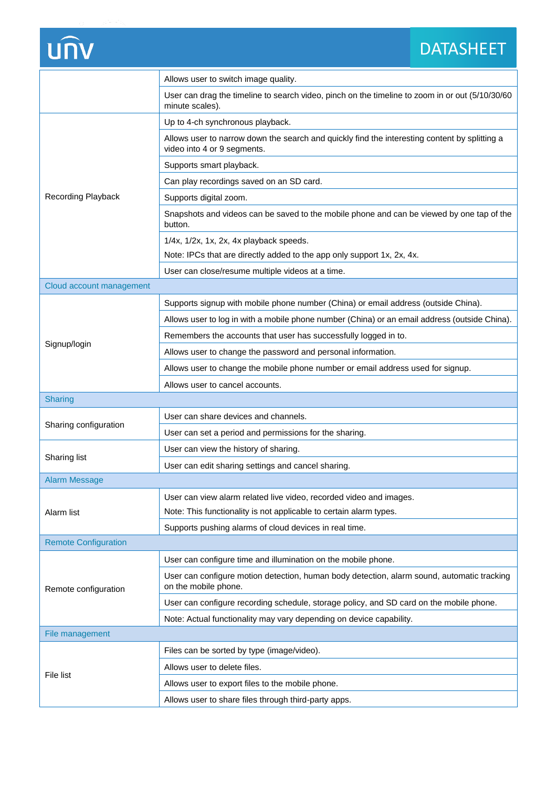# unv

#### DATASHEET DATASHEET

|                             | Allows user to switch image quality.                                                                                         |
|-----------------------------|------------------------------------------------------------------------------------------------------------------------------|
|                             | User can drag the timeline to search video, pinch on the timeline to zoom in or out (5/10/30/60<br>minute scales).           |
| <b>Recording Playback</b>   | Up to 4-ch synchronous playback.                                                                                             |
|                             | Allows user to narrow down the search and quickly find the interesting content by splitting a<br>video into 4 or 9 segments. |
|                             | Supports smart playback.                                                                                                     |
|                             | Can play recordings saved on an SD card.                                                                                     |
|                             | Supports digital zoom.                                                                                                       |
|                             | Snapshots and videos can be saved to the mobile phone and can be viewed by one tap of the<br>button.                         |
|                             | 1/4x, 1/2x, 1x, 2x, 4x playback speeds.                                                                                      |
|                             | Note: IPCs that are directly added to the app only support 1x, 2x, 4x.                                                       |
|                             | User can close/resume multiple videos at a time.                                                                             |
| Cloud account management    |                                                                                                                              |
|                             | Supports signup with mobile phone number (China) or email address (outside China).                                           |
| Signup/login                | Allows user to log in with a mobile phone number (China) or an email address (outside China).                                |
|                             | Remembers the accounts that user has successfully logged in to.                                                              |
|                             | Allows user to change the password and personal information.                                                                 |
|                             | Allows user to change the mobile phone number or email address used for signup.                                              |
|                             | Allows user to cancel accounts.                                                                                              |
|                             |                                                                                                                              |
| <b>Sharing</b>              |                                                                                                                              |
|                             | User can share devices and channels.                                                                                         |
| Sharing configuration       | User can set a period and permissions for the sharing.                                                                       |
|                             | User can view the history of sharing.                                                                                        |
| Sharing list                | User can edit sharing settings and cancel sharing.                                                                           |
| <b>Alarm Message</b>        |                                                                                                                              |
|                             | User can view alarm related live video, recorded video and images.                                                           |
| Alarm list                  | Note: This functionality is not applicable to certain alarm types.                                                           |
|                             | Supports pushing alarms of cloud devices in real time.                                                                       |
| <b>Remote Configuration</b> |                                                                                                                              |
|                             | User can configure time and illumination on the mobile phone.                                                                |
| Remote configuration        | User can configure motion detection, human body detection, alarm sound, automatic tracking<br>on the mobile phone.           |
|                             | User can configure recording schedule, storage policy, and SD card on the mobile phone.                                      |
|                             | Note: Actual functionality may vary depending on device capability.                                                          |
| File management             |                                                                                                                              |
|                             | Files can be sorted by type (image/video).                                                                                   |
|                             | Allows user to delete files.                                                                                                 |
| <b>File list</b>            | Allows user to export files to the mobile phone.                                                                             |